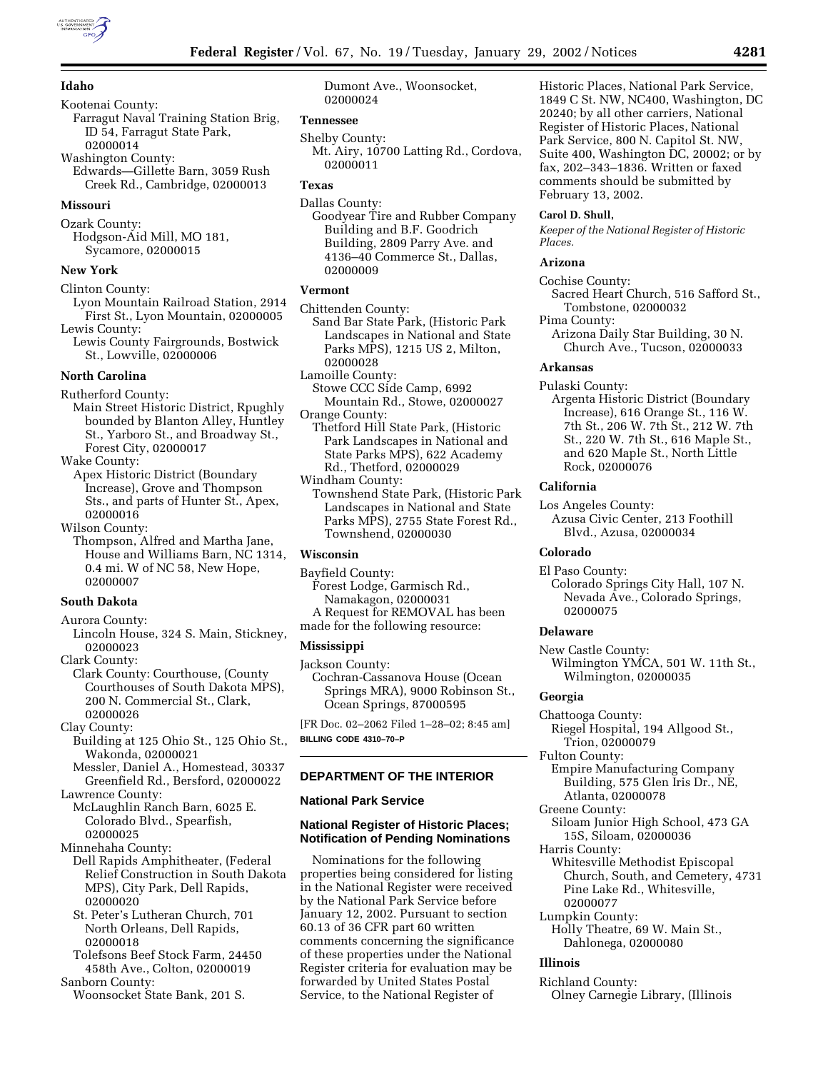# **Idaho**

Kootenai County: Farragut Naval Training Station Brig, ID 54, Farragut State Park, 02000014 Washington County:

Edwards—Gillette Barn, 3059 Rush Creek Rd., Cambridge, 02000013

## **Missouri**

Ozark County: Hodgson-Aid Mill, MO 181, Sycamore, 02000015

# **New York**

Clinton County: Lyon Mountain Railroad Station, 2914 First St., Lyon Mountain, 02000005

Lewis County: Lewis County Fairgrounds, Bostwick St., Lowville, 02000006

### **North Carolina**

Rutherford County:

Main Street Historic District, Rpughly bounded by Blanton Alley, Huntley St., Yarboro St., and Broadway St., Forest City, 02000017

Wake County:

Apex Historic District (Boundary Increase), Grove and Thompson Sts., and parts of Hunter St., Apex, 02000016

Wilson County:

Thompson, Alfred and Martha Jane, House and Williams Barn, NC 1314, 0.4 mi. W of NC 58, New Hope, 02000007

# **South Dakota**

Aurora County:

Lincoln House, 324 S. Main, Stickney, 02000023

Clark County: Clark County: Courthouse, (County Courthouses of South Dakota MPS), 200 N. Commercial St., Clark, 02000026

Clay County:

Building at 125 Ohio St., 125 Ohio St., Wakonda, 02000021

Messler, Daniel A., Homestead, 30337 Greenfield Rd., Bersford, 02000022

Lawrence County:

McLaughlin Ranch Barn, 6025 E. Colorado Blvd., Spearfish, 02000025

Minnehaha County:

- Dell Rapids Amphitheater, (Federal Relief Construction in South Dakota MPS), City Park, Dell Rapids, 02000020
- St. Peter's Lutheran Church, 701 North Orleans, Dell Rapids, 02000018
- Tolefsons Beef Stock Farm, 24450 458th Ave., Colton, 02000019 Sanborn County:
- Woonsocket State Bank, 201 S.

Dumont Ave., Woonsocket, 02000024

#### **Tennessee**

Shelby County: Mt. Airy, 10700 Latting Rd., Cordova, 02000011

# **Texas**

Dallas County: Goodyear Tire and Rubber Company Building and B.F. Goodrich Building, 2809 Parry Ave. and 4136–40 Commerce St., Dallas, 02000009

#### **Vermont**

Chittenden County: Sand Bar State Park, (Historic Park Landscapes in National and State Parks MPS), 1215 US 2, Milton, 02000028 Lamoille County:

- Stowe CCC Side Camp, 6992 Mountain Rd., Stowe, 02000027 Orange County:
	- Thetford Hill State Park, (Historic Park Landscapes in National and State Parks MPS), 622 Academy Rd., Thetford, 02000029
- Windham County: Townshend State Park, (Historic Park Landscapes in National and State Parks MPS), 2755 State Forest Rd., Townshend, 02000030

# **Wisconsin**

Bayfield County:

- Forest Lodge, Garmisch Rd., Namakagon, 02000031 A Request for REMOVAL has been
- made for the following resource:

# **Mississippi**

Jackson County: Cochran-Cassanova House (Ocean Springs MRA), 9000 Robinson St., Ocean Springs, 87000595

[FR Doc. 02–2062 Filed 1–28–02; 8:45 am] **BILLING CODE 4310–70–P**

# **DEPARTMENT OF THE INTERIOR**

# **National Park Service**

# **National Register of Historic Places; Notification of Pending Nominations**

Nominations for the following properties being considered for listing in the National Register were received by the National Park Service before January 12, 2002. Pursuant to section 60.13 of 36 CFR part 60 written comments concerning the significance of these properties under the National Register criteria for evaluation may be forwarded by United States Postal Service, to the National Register of

Historic Places, National Park Service, 1849 C St. NW, NC400, Washington, DC 20240; by all other carriers, National Register of Historic Places, National Park Service, 800 N. Capitol St. NW, Suite 400, Washington DC, 20002; or by fax, 202–343–1836. Written or faxed comments should be submitted by February 13, 2002.

#### **Carol D. Shull,**

*Keeper of the National Register of Historic Places.*

#### **Arizona**

Cochise County: Sacred Heart Church, 516 Safford St., Tombstone, 02000032

Pima County: Arizona Daily Star Building, 30 N. Church Ave., Tucson, 02000033

#### **Arkansas**

Pulaski County:

Argenta Historic District (Boundary Increase), 616 Orange St., 116 W. 7th St., 206 W. 7th St., 212 W. 7th St., 220 W. 7th St., 616 Maple St., and 620 Maple St., North Little Rock, 02000076

#### **California**

Los Angeles County: Azusa Civic Center, 213 Foothill Blvd., Azusa, 02000034

### **Colorado**

El Paso County:

Colorado Springs City Hall, 107 N. Nevada Ave., Colorado Springs, 02000075

# **Delaware**

New Castle County: Wilmington YMCA, 501 W. 11th St., Wilmington, 02000035

# **Georgia**

Chattooga County:

- Riegel Hospital, 194 Allgood St., Trion, 02000079
- Fulton County:
- Empire Manufacturing Company Building, 575 Glen Iris Dr., NE, Atlanta, 02000078
- Greene County:
- Siloam Junior High School, 473 GA 15S, Siloam, 02000036
- Harris County:
- Whitesville Methodist Episcopal Church, South, and Cemetery, 4731 Pine Lake Rd., Whitesville, 02000077
- Lumpkin County:
- Holly Theatre, 69 W. Main St., Dahlonega, 02000080

#### **Illinois**

Richland County:

Olney Carnegie Library, (Illinois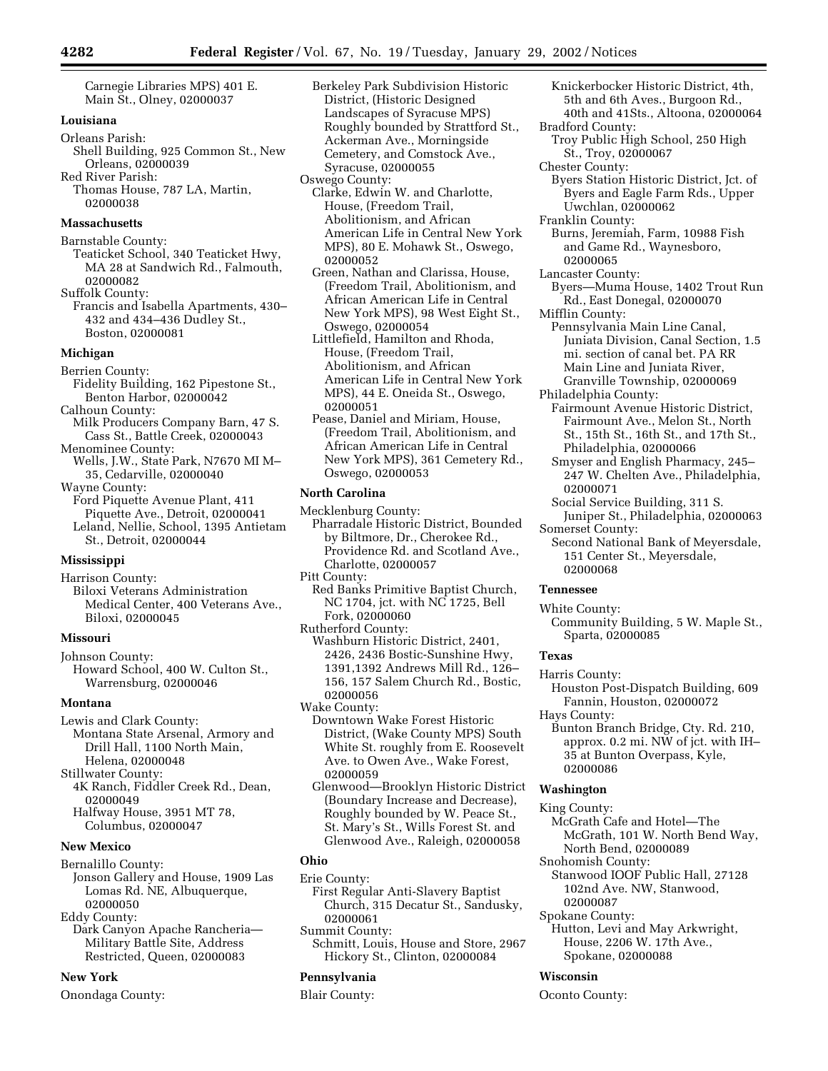Carnegie Libraries MPS) 401 E. Main St., Olney, 02000037

# **Louisiana**

Orleans Parish: Shell Building, 925 Common St., New Orleans, 02000039 Red River Parish: Thomas House, 787 LA, Martin,

02000038

# **Massachusetts**

Barnstable County: Teaticket School, 340 Teaticket Hwy, MA 28 at Sandwich Rd., Falmouth, 02000082

Suffolk County: Francis and Isabella Apartments, 430– 432 and 434–436 Dudley St., Boston, 02000081

#### **Michigan**

# Berrien County:

- Fidelity Building, 162 Pipestone St., Benton Harbor, 02000042
- Calhoun County:
- Milk Producers Company Barn, 47 S. Cass St., Battle Creek, 02000043
- Menominee County: Wells, J.W., State Park, N7670 MI M– 35, Cedarville, 02000040
- Wayne County:
- Ford Piquette Avenue Plant, 411 Piquette Ave., Detroit, 02000041 Leland, Nellie, School, 1395 Antietam St., Detroit, 02000044

# **Mississippi**

Harrison County: Biloxi Veterans Administration Medical Center, 400 Veterans Ave., Biloxi, 02000045

#### **Missouri**

Johnson County: Howard School, 400 W. Culton St., Warrensburg, 02000046

#### **Montana**

Lewis and Clark County: Montana State Arsenal, Armory and Drill Hall, 1100 North Main, Helena, 02000048

Stillwater County:

- 4K Ranch, Fiddler Creek Rd., Dean, 02000049 Halfway House, 3951 MT 78, Columbus, 02000047
- 

# **New Mexico**

- Bernalillo County: Jonson Gallery and House, 1909 Las Lomas Rd. NE, Albuquerque, 02000050
- Eddy County:
- Dark Canyon Apache Rancheria— Military Battle Site, Address Restricted, Queen, 02000083

# **New York**

Onondaga County:

Berkeley Park Subdivision Historic District, (Historic Designed Landscapes of Syracuse MPS) Roughly bounded by Strattford St., Ackerman Ave., Morningside Cemetery, and Comstock Ave., Syracuse, 02000055

- Oswego County: Clarke, Edwin W. and Charlotte, House, (Freedom Trail, Abolitionism, and African American Life in Central New York MPS), 80 E. Mohawk St., Oswego, 02000052
	- Green, Nathan and Clarissa, House, (Freedom Trail, Abolitionism, and African American Life in Central New York MPS), 98 West Eight St., Oswego, 02000054
	- Littlefield, Hamilton and Rhoda, House, (Freedom Trail, Abolitionism, and African American Life in Central New York MPS), 44 E. Oneida St., Oswego, 02000051
	- Pease, Daniel and Miriam, House, (Freedom Trail, Abolitionism, and African American Life in Central New York MPS), 361 Cemetery Rd., Oswego, 02000053

# **North Carolina**

- Mecklenburg County: Pharradale Historic District, Bounded by Biltmore, Dr., Cherokee Rd., Providence Rd. and Scotland Ave., Charlotte, 02000057
- Pitt County:
- Red Banks Primitive Baptist Church, NC 1704, jct. with NC 1725, Bell Fork, 02000060
- Rutherford County: Washburn Historic District, 2401, 2426, 2436 Bostic-Sunshine Hwy, 1391,1392 Andrews Mill Rd., 126– 156, 157 Salem Church Rd., Bostic, 02000056
- Wake County: Downtown Wake Forest Historic District, (Wake County MPS) South White St. roughly from E. Roosevelt Ave. to Owen Ave., Wake Forest, 02000059
	- Glenwood—Brooklyn Historic District (Boundary Increase and Decrease), Roughly bounded by W. Peace St., St. Mary's St., Wills Forest St. and Glenwood Ave., Raleigh, 02000058

# **Ohio**

- Erie County: First Regular Anti-Slavery Baptist Church, 315 Decatur St., Sandusky, 02000061 Summit County:
- Schmitt, Louis, House and Store, 2967 Hickory St., Clinton, 02000084

# **Pennsylvania**

Blair County:

- Knickerbocker Historic District, 4th, 5th and 6th Aves., Burgoon Rd., 40th and 41Sts., Altoona, 02000064 Bradford County: Troy Public High School, 250 High St., Troy, 02000067 Chester County:
	- Byers Station Historic District, Jct. of Byers and Eagle Farm Rds., Upper Uwchlan, 02000062
- Franklin County:
- Burns, Jeremiah, Farm, 10988 Fish and Game Rd., Waynesboro, 02000065
- Lancaster County:
- Byers—Muma House, 1402 Trout Run Rd., East Donegal, 02000070

Mifflin County:

- Pennsylvania Main Line Canal, Juniata Division, Canal Section, 1.5 mi. section of canal bet. PA RR Main Line and Juniata River, Granville Township, 02000069
- Philadelphia County:
	- Fairmount Avenue Historic District, Fairmount Ave., Melon St., North St., 15th St., 16th St., and 17th St., Philadelphia, 02000066
	- Smyser and English Pharmacy, 245– 247 W. Chelten Ave., Philadelphia, 02000071
	- Social Service Building, 311 S.
- Juniper St., Philadelphia, 02000063 Somerset County:
- Second National Bank of Meyersdale, 151 Center St., Meyersdale, 02000068

#### **Tennessee**

White County:

Community Building, 5 W. Maple St., Sparta, 02000085

# **Texas**

- Harris County:
- Houston Post-Dispatch Building, 609 Fannin, Houston, 02000072
- Hays County:
	- Bunton Branch Bridge, Cty. Rd. 210, approx. 0.2 mi. NW of jct. with IH– 35 at Bunton Overpass, Kyle, 02000086

# **Washington**

- King County:
	- McGrath Cafe and Hotel—The McGrath, 101 W. North Bend Way, North Bend, 02000089
- Snohomish County:
- Stanwood IOOF Public Hall, 27128 102nd Ave. NW, Stanwood,
- 02000087
- Spokane County:
- Hutton, Levi and May Arkwright, House, 2206 W. 17th Ave., Spokane, 02000088

# **Wisconsin**

Oconto County: